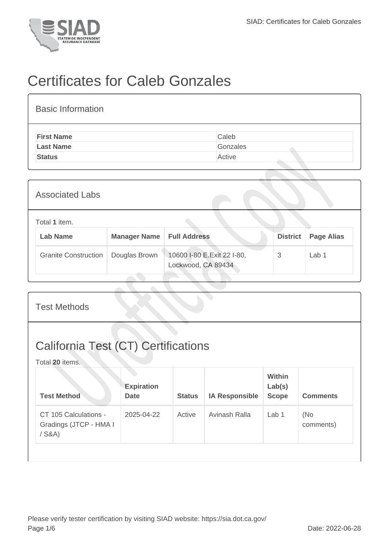

## Certificates for Caleb Gonzales

| <b>Basic Information</b> |          |
|--------------------------|----------|
| <b>First Name</b>        | Caleb    |
| <b>Last Name</b>         | Gonzales |
| <b>Status</b>            | Active   |

| <b>Associated Labs</b>           |                     |                                                  |                 |                   |  |  |  |  |
|----------------------------------|---------------------|--------------------------------------------------|-----------------|-------------------|--|--|--|--|
| Total 1 item.<br><b>Lab Name</b> | <b>Manager Name</b> | <b>Full Address</b>                              | <b>District</b> | <b>Page Alias</b> |  |  |  |  |
| <b>Granite Construction</b>      | Douglas Brown       | 10600 I-80 E.Exit 22 I-80,<br>Lockwood, CA 89434 | 3               | Lab <sub>1</sub>  |  |  |  |  |

| <b>Test Methods</b>                                           |                                  |               |                       |                                         |                  |  |  |
|---------------------------------------------------------------|----------------------------------|---------------|-----------------------|-----------------------------------------|------------------|--|--|
| <b>California Test (CT) Certifications</b><br>Total 20 items. |                                  |               |                       |                                         |                  |  |  |
| <b>Test Method</b>                                            | <b>Expiration</b><br><b>Date</b> | <b>Status</b> | <b>IA Responsible</b> | <b>Within</b><br>Lab(s)<br><b>Scope</b> | <b>Comments</b>  |  |  |
| CT 105 Calculations -<br>Gradings (JTCP - HMA I<br>$/$ S&A)   | 2025-04-22                       | Active        | Avinash Ralla         | Lab <sub>1</sub>                        | (No<br>comments) |  |  |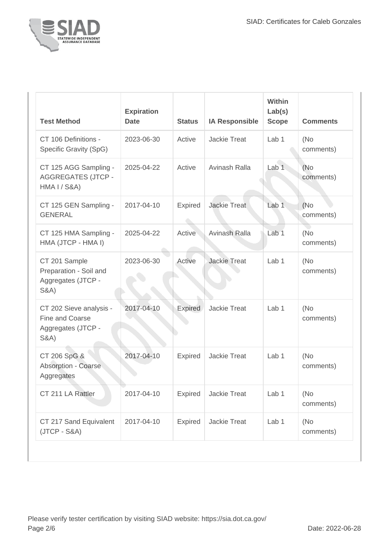

| <b>Test Method</b>                                                                  | <b>Expiration</b><br><b>Date</b> | <b>Status</b>  | <b>IA Responsible</b> | <b>Within</b><br>Lab(s)<br><b>Scope</b> | <b>Comments</b>   |
|-------------------------------------------------------------------------------------|----------------------------------|----------------|-----------------------|-----------------------------------------|-------------------|
| CT 106 Definitions -<br>Specific Gravity (SpG)                                      | 2023-06-30                       | Active         | <b>Jackie Treat</b>   | Lab <sub>1</sub>                        | (No<br>comments)  |
| CT 125 AGG Sampling -<br><b>AGGREGATES (JTCP -</b><br>HMA I / S&A)                  | 2025-04-22                       | Active         | Avinash Ralla         | Lab <sub>1</sub>                        | (No)<br>comments) |
| CT 125 GEN Sampling -<br><b>GENERAL</b>                                             | 2017-04-10                       | <b>Expired</b> | <b>Jackie Treat</b>   | Lab <sub>1</sub>                        | (No)<br>comments) |
| CT 125 HMA Sampling -<br>HMA (JTCP - HMA I)                                         | 2025-04-22                       | Active         | Avinash Ralla         | Lab <sub>1</sub>                        | (No<br>comments)  |
| CT 201 Sample<br>Preparation - Soil and<br>Aggregates (JTCP -<br><b>S&amp;A</b> )   | 2023-06-30                       | Active         | <b>Jackie Treat</b>   | Lab <sub>1</sub>                        | (No)<br>comments) |
| CT 202 Sieve analysis -<br>Fine and Coarse<br>Aggregates (JTCP -<br><b>S&amp;A)</b> | 2017-04-10                       | Expired        | <b>Jackie Treat</b>   | Lab <sub>1</sub>                        | (No)<br>comments) |
| CT 206 SpG &<br>Absorption - Coarse<br>Aggregates                                   | 2017-04-10                       | <b>Expired</b> | <b>Jackie Treat</b>   | Lab <sub>1</sub>                        | (No)<br>comments) |
| CT 211 LA Rattler                                                                   | 2017-04-10                       | Expired        | Jackie Treat          | Lab <sub>1</sub>                        | (No)<br>comments) |
| CT 217 Sand Equivalent<br>$(JTCP - S&A)$                                            | 2017-04-10                       | <b>Expired</b> | Jackie Treat          | Lab 1                                   | (No<br>comments)  |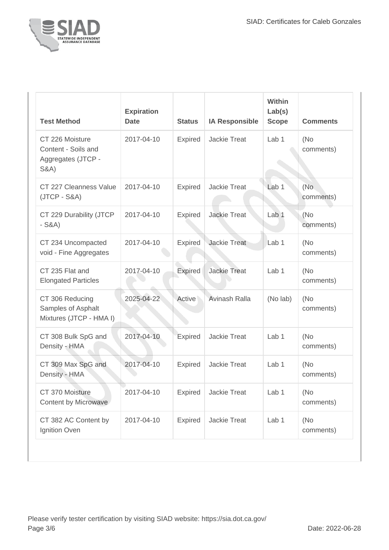

| <b>Test Method</b>                                                               | <b>Expiration</b><br><b>Date</b> | <b>Status</b>  | <b>IA Responsible</b> | <b>Within</b><br>Lab(s)<br><b>Scope</b> | <b>Comments</b>   |
|----------------------------------------------------------------------------------|----------------------------------|----------------|-----------------------|-----------------------------------------|-------------------|
| CT 226 Moisture<br>Content - Soils and<br>Aggregates (JTCP -<br><b>S&amp;A</b> ) | 2017-04-10                       | <b>Expired</b> | <b>Jackie Treat</b>   | Lab <sub>1</sub>                        | (No)<br>comments) |
| CT 227 Cleanness Value<br>$(JTCP - S&A)$                                         | 2017-04-10                       | <b>Expired</b> | <b>Jackie Treat</b>   | Lab <sub>1</sub>                        | (No)<br>comments) |
| CT 229 Durability (JTCP<br>$-S&A)$                                               | 2017-04-10                       | Expired        | <b>Jackie Treat</b>   | Lab <sub>1</sub>                        | (No<br>comments)  |
| CT 234 Uncompacted<br>void - Fine Aggregates                                     | 2017-04-10                       | <b>Expired</b> | <b>Jackie Treat</b>   | Lab <sub>1</sub>                        | (No)<br>comments) |
| CT 235 Flat and<br><b>Elongated Particles</b>                                    | 2017-04-10                       | <b>Expired</b> | <b>Jackie Treat</b>   | Lab <sub>1</sub>                        | (No)<br>comments) |
| CT 306 Reducing<br>Samples of Asphalt<br>Mixtures (JTCP - HMA I)                 | 2025-04-22                       | Active         | Avinash Ralla         | (No lab)                                | (No)<br>comments) |
| CT 308 Bulk SpG and<br>Density - HMA                                             | 2017-04-10                       | Expired        | <b>Jackie Treat</b>   | Lab <sub>1</sub>                        | (No)<br>comments) |
| CT 309 Max SpG and<br>Density - HMA                                              | 2017-04-10                       | Expired        | <b>Jackie Treat</b>   | Lab <sub>1</sub>                        | (No)<br>comments) |
| CT 370 Moisture<br>Content by Microwave                                          | 2017-04-10                       | <b>Expired</b> | Jackie Treat          | Lab 1                                   | (No<br>comments)  |
| CT 382 AC Content by<br>Ignition Oven                                            | 2017-04-10                       | <b>Expired</b> | <b>Jackie Treat</b>   | Lab 1                                   | (No<br>comments)  |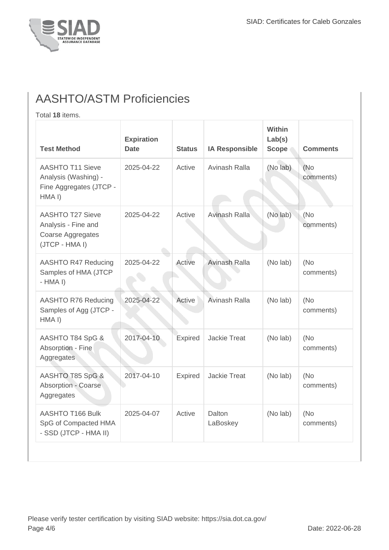

## AASHTO/ASTM Proficiencies

Total **18** items.

| <b>Test Method</b>                                                                               | <b>Expiration</b><br><b>Date</b> | <b>Status</b> | <b>IA Responsible</b> | <b>Within</b><br>Lab(s)<br><b>Scope</b> | <b>Comments</b>   |
|--------------------------------------------------------------------------------------------------|----------------------------------|---------------|-----------------------|-----------------------------------------|-------------------|
| <b>AASHTO T11 Sieve</b><br>Analysis (Washing) -<br>Fine Aggregates (JTCP -<br>HMA <sub>I</sub> ) | 2025-04-22                       | Active        | Avinash Ralla         | (No lab)                                | (No<br>comments)  |
| <b>AASHTO T27 Sieve</b><br>Analysis - Fine and<br>Coarse Aggregates<br>(JTCP - HMA I)            | 2025-04-22                       | Active        | Avinash Ralla         | (No lab)                                | (No<br>comments)  |
| AASHTO R47 Reducing<br>Samples of HMA (JTCP<br>$-HMA I)$                                         | 2025-04-22                       | Active        | Avinash Ralla         | (No lab)                                | (No<br>comments)  |
| AASHTO R76 Reducing<br>Samples of Agg (JTCP -<br>HMA I)                                          | 2025-04-22                       | Active        | Avinash Ralla         | (No lab)                                | (No<br>comments)  |
| AASHTO T84 SpG &<br>Absorption - Fine<br>Aggregates                                              | 2017-04-10                       | Expired       | <b>Jackie Treat</b>   | (No lab)                                | (No<br>comments)  |
| AASHTO T85 SpG &<br>Absorption - Coarse<br>Aggregates                                            | 2017-04-10                       | Expired       | <b>Jackie Treat</b>   | (No lab)                                | (No<br>comments)  |
| <b>AASHTO T166 Bulk</b><br>SpG of Compacted HMA<br>- SSD (JTCP - HMA II)                         | 2025-04-07                       | Active        | Dalton<br>LaBoskey    | (No lab)                                | (No)<br>comments) |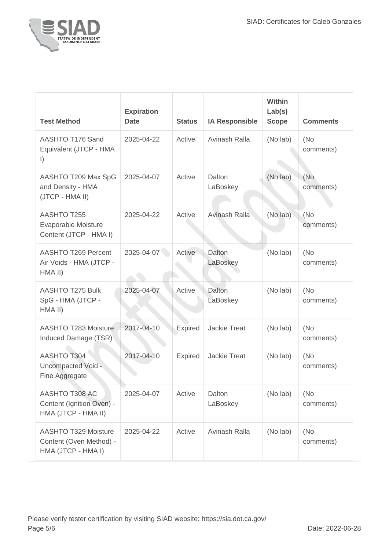

| <b>Test Method</b>                                                           | <b>Expiration</b><br><b>Date</b> | <b>Status</b>  | <b>IA Responsible</b> | Within<br>Lab(s)<br><b>Scope</b> | <b>Comments</b>   |
|------------------------------------------------------------------------------|----------------------------------|----------------|-----------------------|----------------------------------|-------------------|
| AASHTO T176 Sand<br>Equivalent (JTCP - HMA<br>$\vert$                        | 2025-04-22                       | Active         | Avinash Ralla         | (No lab)                         | (No<br>comments)  |
| AASHTO T209 Max SpG<br>and Density - HMA<br>(JTCP - HMA II)                  | 2025-04-07                       | Active         | Dalton<br>LaBoskey    | (No lab)                         | (No<br>comments)  |
| AASHTO T255<br>Evaporable Moisture<br>Content (JTCP - HMA I)                 | 2025-04-22                       | Active         | Avinash Ralla         | (No lab)                         | (No<br>comments)  |
| AASHTO T269 Percent<br>Air Voids - HMA (JTCP -<br>HMA II)                    | 2025-04-07                       | Active         | Dalton<br>LaBoskey    | (No lab)                         | (No)<br>comments) |
| <b>AASHTO T275 Bulk</b><br>SpG - HMA (JTCP -<br>HMA II)                      | 2025-04-07                       | Active         | Dalton<br>LaBoskey    | (No lab)                         | (No<br>comments)  |
| <b>AASHTO T283 Moisture</b><br>Induced Damage (TSR)                          | 2017-04-10                       | <b>Expired</b> | <b>Jackie Treat</b>   | (No lab)                         | (No)<br>comments) |
| <b>AASHTO T304</b><br>Uncompacted Void -<br>Fine Aggregate                   | 2017-04-10                       | Expired        | <b>Jackie Treat</b>   | (No lab)                         | (No)<br>comments) |
| AASHTO T308 AC<br>Content (Ignition Oven) -<br>HMA (JTCP - HMA II)           | 2025-04-07                       | Active         | Dalton<br>LaBoskey    | (No lab)                         | (No<br>comments)  |
| <b>AASHTO T329 Moisture</b><br>Content (Oven Method) -<br>HMA (JTCP - HMA I) | 2025-04-22                       | Active         | Avinash Ralla         | (No lab)                         | (No<br>comments)  |